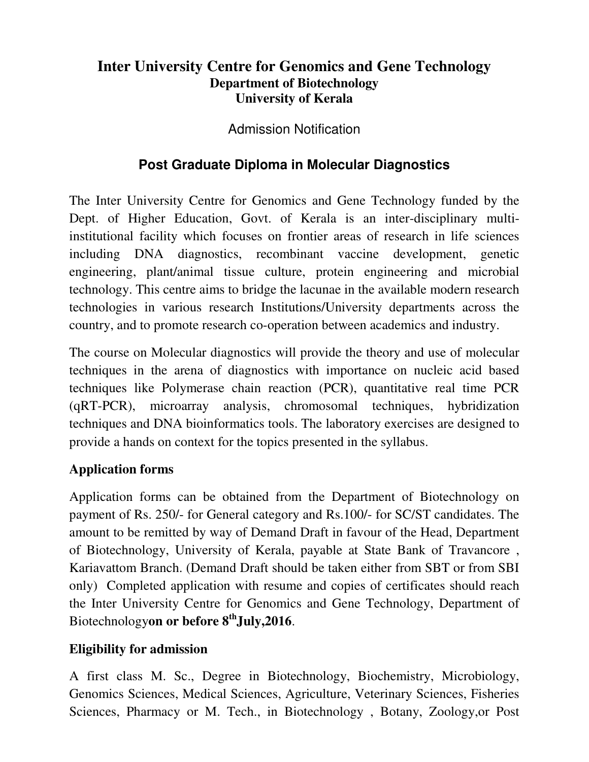## **Inter University Centre for Genomics and Gene Technology Department of Biotechnology University of Kerala**

Admission Notification

# **Post Graduate Diploma in Molecular Diagnostics**

The Inter University Centre for Genomics and Gene Technology funded by the Dept. of Higher Education, Govt. of Kerala is an inter-disciplinary multiinstitutional facility which focuses on frontier areas of research in life sciences including DNA diagnostics, recombinant vaccine development, genetic engineering, plant/animal tissue culture, protein engineering and microbial technology. This centre aims to bridge the lacunae in the available modern research technologies in various research Institutions/University departments across the country, and to promote research co-operation between academics and industry.

The course on Molecular diagnostics will provide the theory and use of molecular techniques in the arena of diagnostics with importance on nucleic acid based techniques like Polymerase chain reaction (PCR), quantitative real time PCR (qRT-PCR), microarray analysis, chromosomal techniques, hybridization techniques and DNA bioinformatics tools. The laboratory exercises are designed to provide a hands on context for the topics presented in the syllabus.

### **Application forms**

Application forms can be obtained from the Department of Biotechnology on payment of Rs. 250/- for General category and Rs.100/- for SC/ST candidates. The amount to be remitted by way of Demand Draft in favour of the Head, Department of Biotechnology, University of Kerala, payable at State Bank of Travancore , Kariavattom Branch. (Demand Draft should be taken either from SBT or from SBI only) Completed application with resume and copies of certificates should reach the Inter University Centre for Genomics and Gene Technology, Department of Biotechnology**on or before 8thJuly,2016**.

#### **Eligibility for admission**

A first class M. Sc., Degree in Biotechnology, Biochemistry, Microbiology, Genomics Sciences, Medical Sciences, Agriculture, Veterinary Sciences, Fisheries Sciences, Pharmacy or M. Tech., in Biotechnology , Botany, Zoology,or Post